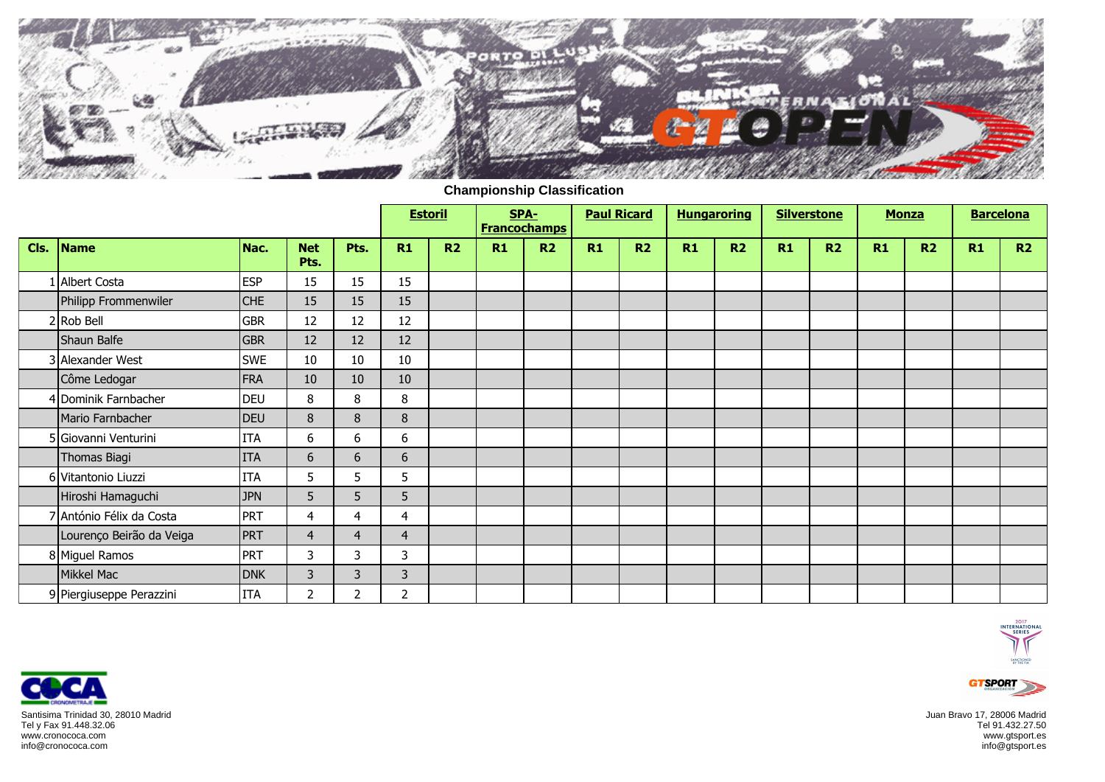

**Championship Classification**

|      |                          |            |                    |                | <b>Estoril</b> |                |    | SPA-<br><b>Francochamps</b> | <b>Paul Ricard</b> |    | <b>Hungaroring</b> |                |    | <b>Silverstone</b> | <b>Monza</b> |                | <b>Barcelona</b> |    |
|------|--------------------------|------------|--------------------|----------------|----------------|----------------|----|-----------------------------|--------------------|----|--------------------|----------------|----|--------------------|--------------|----------------|------------------|----|
| Cls. | Name                     | Nac.       | <b>Net</b><br>Pts. | Pts.           | R1             | R <sub>2</sub> | R1 | R <sub>2</sub>              | R1                 | R2 | R1                 | R <sub>2</sub> | R1 | R2                 | R1           | R <sub>2</sub> | R1               | R2 |
|      | Albert Costa             | <b>ESP</b> | 15                 | 15             | 15             |                |    |                             |                    |    |                    |                |    |                    |              |                |                  |    |
|      | Philipp Frommenwiler     | <b>CHE</b> | 15                 | 15             | 15             |                |    |                             |                    |    |                    |                |    |                    |              |                |                  |    |
|      | 2 Rob Bell               | <b>GBR</b> | 12                 | 12             | 12             |                |    |                             |                    |    |                    |                |    |                    |              |                |                  |    |
|      | Shaun Balfe              | <b>GBR</b> | 12                 | 12             | 12             |                |    |                             |                    |    |                    |                |    |                    |              |                |                  |    |
|      | 3 Alexander West         | <b>SWE</b> | 10                 | 10             | 10             |                |    |                             |                    |    |                    |                |    |                    |              |                |                  |    |
|      | Côme Ledogar             | FRA        | 10                 | 10             | 10             |                |    |                             |                    |    |                    |                |    |                    |              |                |                  |    |
|      | 4 Dominik Farnbacher     | <b>DEU</b> | 8                  | 8              | 8              |                |    |                             |                    |    |                    |                |    |                    |              |                |                  |    |
|      | Mario Farnbacher         | <b>DEU</b> | 8                  | 8              | 8              |                |    |                             |                    |    |                    |                |    |                    |              |                |                  |    |
|      | 5 Giovanni Venturini     | <b>ITA</b> | 6                  | 6              | 6              |                |    |                             |                    |    |                    |                |    |                    |              |                |                  |    |
|      | Thomas Biagi             | <b>ITA</b> | $6\phantom{.}6$    | 6              | 6              |                |    |                             |                    |    |                    |                |    |                    |              |                |                  |    |
|      | 6 Vitantonio Liuzzi      | <b>ITA</b> | 5                  | 5              | 5              |                |    |                             |                    |    |                    |                |    |                    |              |                |                  |    |
|      | Hiroshi Hamaguchi        | <b>JPN</b> | 5                  | 5              | 5              |                |    |                             |                    |    |                    |                |    |                    |              |                |                  |    |
|      | 7 António Félix da Costa | <b>PRT</b> | 4                  | 4              | $\overline{4}$ |                |    |                             |                    |    |                    |                |    |                    |              |                |                  |    |
|      | Lourenço Beirão da Veiga | PRT        | $\overline{4}$     | 4              | $\overline{4}$ |                |    |                             |                    |    |                    |                |    |                    |              |                |                  |    |
|      | 8 Miguel Ramos           | <b>PRT</b> | 3                  | 3              | 3              |                |    |                             |                    |    |                    |                |    |                    |              |                |                  |    |
|      | Mikkel Mac               | <b>DNK</b> | 3                  | 3              | 3              |                |    |                             |                    |    |                    |                |    |                    |              |                |                  |    |
|      | 9 Piergiuseppe Perazzini | <b>ITA</b> | $\overline{2}$     | $\overline{2}$ | 2              |                |    |                             |                    |    |                    |                |    |                    |              |                |                  |    |





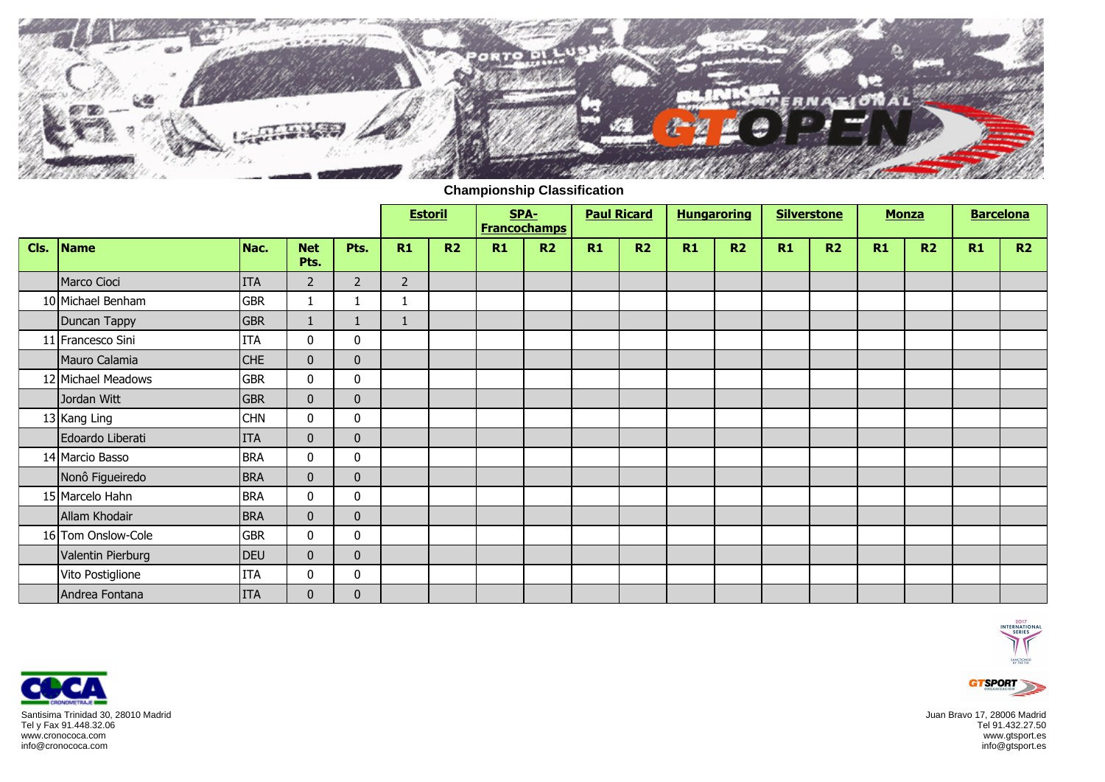

**Championship Classification**

|      |                    |            |                    |                | <b>Estoril</b> |           |    | SPA-<br><b>Francochamps</b> | <b>Paul Ricard</b> |                | <b>Hungaroring</b> |                | <b>Silverstone</b> |    | <b>Monza</b> |                | <b>Barcelona</b> |    |
|------|--------------------|------------|--------------------|----------------|----------------|-----------|----|-----------------------------|--------------------|----------------|--------------------|----------------|--------------------|----|--------------|----------------|------------------|----|
| Cls. | Name               | Nac.       | <b>Net</b><br>Pts. | Pts.           | R1             | <b>R2</b> | R1 | R <sub>2</sub>              | R1                 | R <sub>2</sub> | R1                 | R <sub>2</sub> | R1                 | R2 | R1           | R <sub>2</sub> | R1               | R2 |
|      | Marco Cioci        | <b>ITA</b> | $\overline{2}$     | $\overline{2}$ | $\overline{2}$ |           |    |                             |                    |                |                    |                |                    |    |              |                |                  |    |
|      | 10 Michael Benham  | <b>GBR</b> |                    |                |                |           |    |                             |                    |                |                    |                |                    |    |              |                |                  |    |
|      | Duncan Tappy       | <b>GBR</b> |                    |                |                |           |    |                             |                    |                |                    |                |                    |    |              |                |                  |    |
|      | 11 Francesco Sini  | <b>ITA</b> | $\mathbf 0$        | 0              |                |           |    |                             |                    |                |                    |                |                    |    |              |                |                  |    |
|      | Mauro Calamia      | <b>CHE</b> | $\mathbf{0}$       | $\mathbf 0$    |                |           |    |                             |                    |                |                    |                |                    |    |              |                |                  |    |
|      | 12 Michael Meadows | <b>GBR</b> | $\mathbf 0$        | 0              |                |           |    |                             |                    |                |                    |                |                    |    |              |                |                  |    |
|      | Jordan Witt        | <b>GBR</b> | $\mathbf 0$        | $\mathbf 0$    |                |           |    |                             |                    |                |                    |                |                    |    |              |                |                  |    |
|      | 13 Kang Ling       | <b>CHN</b> | $\pmb{0}$          | 0              |                |           |    |                             |                    |                |                    |                |                    |    |              |                |                  |    |
|      | Edoardo Liberati   | <b>ITA</b> | $\mathbf 0$        | $\mathbf 0$    |                |           |    |                             |                    |                |                    |                |                    |    |              |                |                  |    |
|      | 14 Marcio Basso    | <b>BRA</b> | 0                  | 0              |                |           |    |                             |                    |                |                    |                |                    |    |              |                |                  |    |
|      | Nonô Figueiredo    | <b>BRA</b> | $\mathbf{0}$       | $\mathbf{0}$   |                |           |    |                             |                    |                |                    |                |                    |    |              |                |                  |    |
|      | 15 Marcelo Hahn    | <b>BRA</b> | $\mathbf 0$        | 0              |                |           |    |                             |                    |                |                    |                |                    |    |              |                |                  |    |
|      | Allam Khodair      | <b>BRA</b> | $\mathbf 0$        | $\bf{0}$       |                |           |    |                             |                    |                |                    |                |                    |    |              |                |                  |    |
|      | 16 Tom Onslow-Cole | <b>GBR</b> | 0                  | 0              |                |           |    |                             |                    |                |                    |                |                    |    |              |                |                  |    |
|      | Valentin Pierburg  | <b>DEU</b> | $\mathbf 0$        | $\mathbf 0$    |                |           |    |                             |                    |                |                    |                |                    |    |              |                |                  |    |
|      | Vito Postiglione   | <b>ITA</b> | 0                  | 0              |                |           |    |                             |                    |                |                    |                |                    |    |              |                |                  |    |
|      | Andrea Fontana     | <b>ITA</b> | $\boldsymbol{0}$   | $\pmb{0}$      |                |           |    |                             |                    |                |                    |                |                    |    |              |                |                  |    |





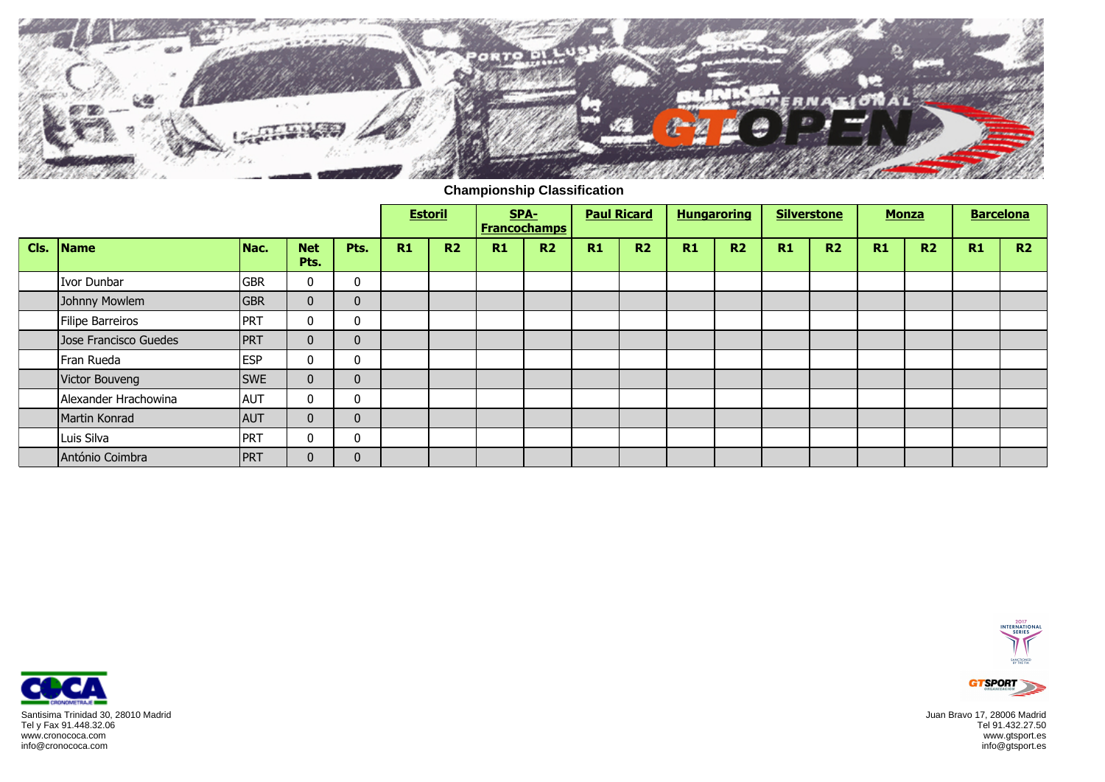

**Championship Classification**

|      |                         |            |                    |              |    | <b>Estoril</b> |    | SPA-<br><b>Francochamps</b> | <b>Paul Ricard</b> |                | <b>Hungaroring</b> |                |    | <b>Silverstone</b> | <b>Monza</b> |                |    | <b>Barcelona</b> |
|------|-------------------------|------------|--------------------|--------------|----|----------------|----|-----------------------------|--------------------|----------------|--------------------|----------------|----|--------------------|--------------|----------------|----|------------------|
| Cls. | Name                    | Nac.       | <b>Net</b><br>Pts. | Pts.         | R1 | R <sub>2</sub> | R1 | <b>R2</b>                   | R1                 | R <sub>2</sub> | R1                 | R <sub>2</sub> | R1 | R <sub>2</sub>     | R1           | R <sub>2</sub> | R1 | R2               |
|      | Ivor Dunbar             | <b>GBR</b> | $\mathbf{0}$       | $\mathbf{0}$ |    |                |    |                             |                    |                |                    |                |    |                    |              |                |    |                  |
|      | Johnny Mowlem           | <b>GBR</b> | $\mathbf{0}$       | $\mathbf{0}$ |    |                |    |                             |                    |                |                    |                |    |                    |              |                |    |                  |
|      | <b>Filipe Barreiros</b> | <b>PRT</b> | $\mathbf{0}$       | 0            |    |                |    |                             |                    |                |                    |                |    |                    |              |                |    |                  |
|      | Jose Francisco Guedes   | PRT        | $\mathbf{0}$       | $\mathbf{0}$ |    |                |    |                             |                    |                |                    |                |    |                    |              |                |    |                  |
|      | Fran Rueda              | <b>ESP</b> | $\mathbf{0}$       | $\mathbf{0}$ |    |                |    |                             |                    |                |                    |                |    |                    |              |                |    |                  |
|      | Victor Bouveng          | <b>SWE</b> | $\mathbf{0}$       | $\mathbf{0}$ |    |                |    |                             |                    |                |                    |                |    |                    |              |                |    |                  |
|      | Alexander Hrachowina    | <b>AUT</b> | $\bf{0}$           | 0            |    |                |    |                             |                    |                |                    |                |    |                    |              |                |    |                  |
|      | Martin Konrad           | <b>AUT</b> | $\mathbf{0}$       | $\mathbf{0}$ |    |                |    |                             |                    |                |                    |                |    |                    |              |                |    |                  |
|      | Luis Silva              | PRT        | $\mathbf{0}$       | $\mathbf{0}$ |    |                |    |                             |                    |                |                    |                |    |                    |              |                |    |                  |
|      | António Coimbra         | <b>PRT</b> | $\mathbf{0}$       | $\mathbf{0}$ |    |                |    |                             |                    |                |                    |                |    |                    |              |                |    |                  |





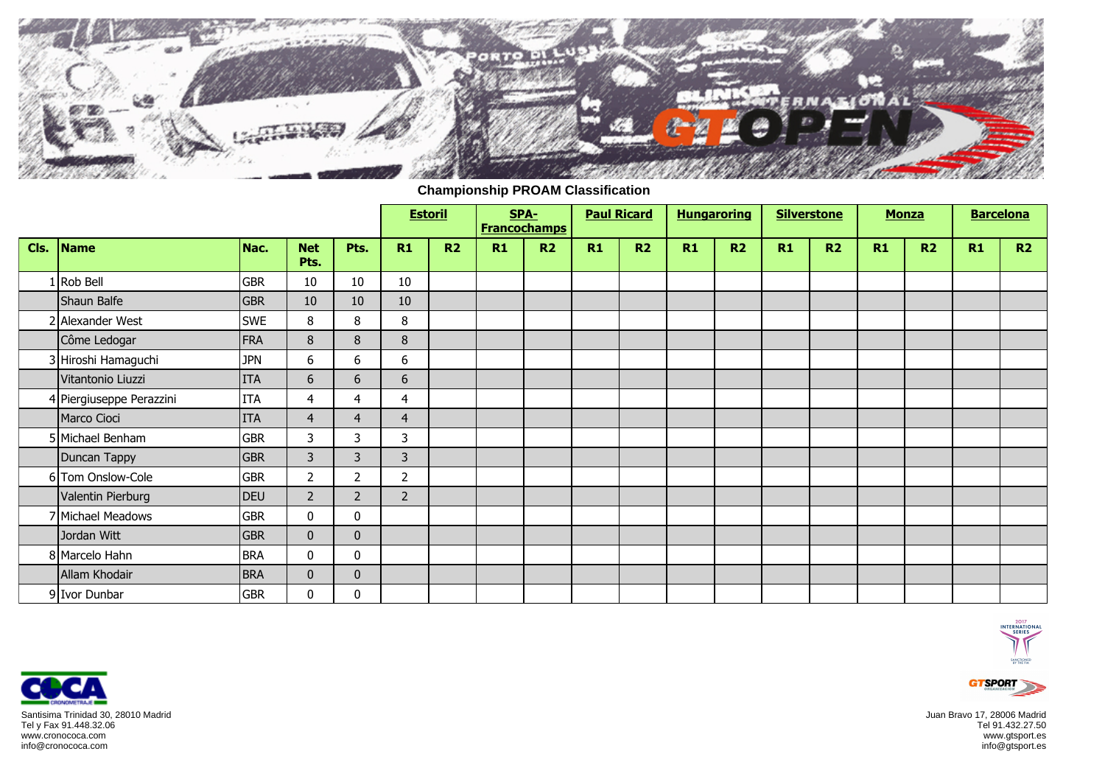

**Championship PROAM Classification**

|      |                          |            |                    |                | <b>Estoril</b> |                | SPA-<br><b>Francochamps</b> |                | <b>Paul Ricard</b> |                | <b>Hungaroring</b> |    |    | <b>Silverstone</b> | <b>Monza</b> |                | <b>Barcelona</b> |    |
|------|--------------------------|------------|--------------------|----------------|----------------|----------------|-----------------------------|----------------|--------------------|----------------|--------------------|----|----|--------------------|--------------|----------------|------------------|----|
| Cls. | Name                     | Nac.       | <b>Net</b><br>Pts. | Pts.           | R1             | R <sub>2</sub> | R1                          | R <sub>2</sub> | R1                 | R <sub>2</sub> | R1                 | R2 | R1 | R2                 | R1           | R <sub>2</sub> | R1               | R2 |
|      | Rob Bell                 | <b>GBR</b> | 10                 | 10             | 10             |                |                             |                |                    |                |                    |    |    |                    |              |                |                  |    |
|      | Shaun Balfe              | <b>GBR</b> | 10                 | 10             | 10             |                |                             |                |                    |                |                    |    |    |                    |              |                |                  |    |
|      | 2 Alexander West         | <b>SWE</b> | 8                  | 8              | 8              |                |                             |                |                    |                |                    |    |    |                    |              |                |                  |    |
|      | Côme Ledogar             | <b>FRA</b> | 8                  | 8              | 8              |                |                             |                |                    |                |                    |    |    |                    |              |                |                  |    |
|      | 3 Hiroshi Hamaguchi      | <b>JPN</b> | 6                  | 6              | 6              |                |                             |                |                    |                |                    |    |    |                    |              |                |                  |    |
|      | Vitantonio Liuzzi        | <b>ITA</b> | 6                  | 6              | 6              |                |                             |                |                    |                |                    |    |    |                    |              |                |                  |    |
|      | 4 Piergiuseppe Perazzini | <b>ITA</b> | $\overline{4}$     | 4              | 4              |                |                             |                |                    |                |                    |    |    |                    |              |                |                  |    |
|      | Marco Cioci              | <b>ITA</b> | $\overline{4}$     | $\overline{4}$ | $\overline{4}$ |                |                             |                |                    |                |                    |    |    |                    |              |                |                  |    |
|      | 5 Michael Benham         | <b>GBR</b> | $\mathbf{3}$       | 3              | $\mathsf{3}$   |                |                             |                |                    |                |                    |    |    |                    |              |                |                  |    |
|      | Duncan Tappy             | <b>GBR</b> | $\mathbf{3}$       | 3              | $\overline{3}$ |                |                             |                |                    |                |                    |    |    |                    |              |                |                  |    |
|      | 6 Tom Onslow-Cole        | <b>GBR</b> | $\overline{2}$     | $\overline{2}$ | $\overline{2}$ |                |                             |                |                    |                |                    |    |    |                    |              |                |                  |    |
|      | Valentin Pierburg        | <b>DEU</b> | $2^{\circ}$        | $\overline{2}$ | $\overline{2}$ |                |                             |                |                    |                |                    |    |    |                    |              |                |                  |    |
|      | 7 Michael Meadows        | <b>GBR</b> | $\mathbf 0$        | 0              |                |                |                             |                |                    |                |                    |    |    |                    |              |                |                  |    |
|      | Jordan Witt              | <b>GBR</b> | $\mathbf{0}$       | $\mathbf{0}$   |                |                |                             |                |                    |                |                    |    |    |                    |              |                |                  |    |
|      | 8 Marcelo Hahn           | <b>BRA</b> | $\mathbf 0$        | 0              |                |                |                             |                |                    |                |                    |    |    |                    |              |                |                  |    |
|      | Allam Khodair            | <b>BRA</b> | $\mathbf 0$        | $\mathbf{0}$   |                |                |                             |                |                    |                |                    |    |    |                    |              |                |                  |    |
|      | 9 Ivor Dunbar            | <b>GBR</b> | 0                  | 0              |                |                |                             |                |                    |                |                    |    |    |                    |              |                |                  |    |





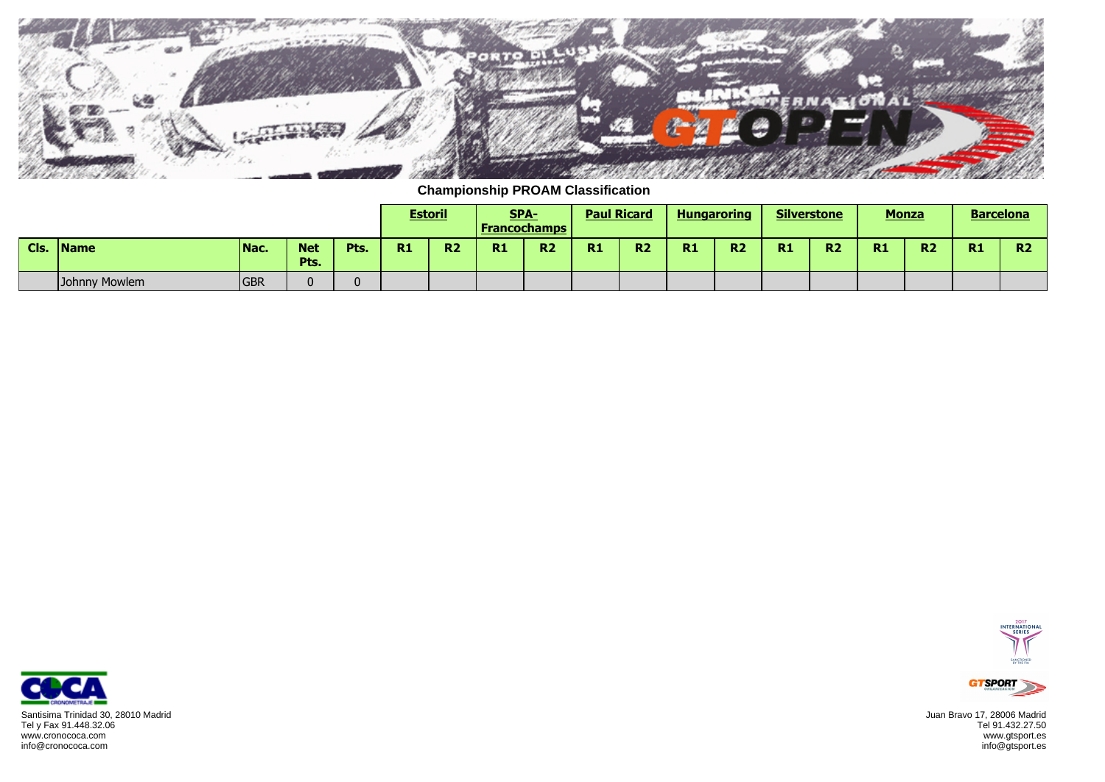

**Championship PROAM Classification**

|      |               |            |                    |          |    | <b>Estoril</b> | SPA-<br><u>  Francochamps</u> |           | <b>Paul Ricard</b> |                |           | <b>Hungaroring</b> | <b>Silverstone</b> |                | <b>Monza</b> |                | <b>Barcelona</b> |                 |
|------|---------------|------------|--------------------|----------|----|----------------|-------------------------------|-----------|--------------------|----------------|-----------|--------------------|--------------------|----------------|--------------|----------------|------------------|-----------------|
| Cls. | <b>IName</b>  | Nac.       | <b>Net</b><br>Pts. | Pts.     | R1 | R <sub>2</sub> | R1                            | <b>R2</b> | R1                 | R <sub>2</sub> | <b>R1</b> | R <sub>2</sub>     | R1                 | R <sub>2</sub> | <b>R1</b>    | R <sub>2</sub> | <b>R1</b>        | <b>DO</b><br>n. |
|      | Johnny Mowlem | <b>GBR</b> |                    | $\Omega$ |    |                |                               |           |                    |                |           |                    |                    |                |              |                |                  |                 |





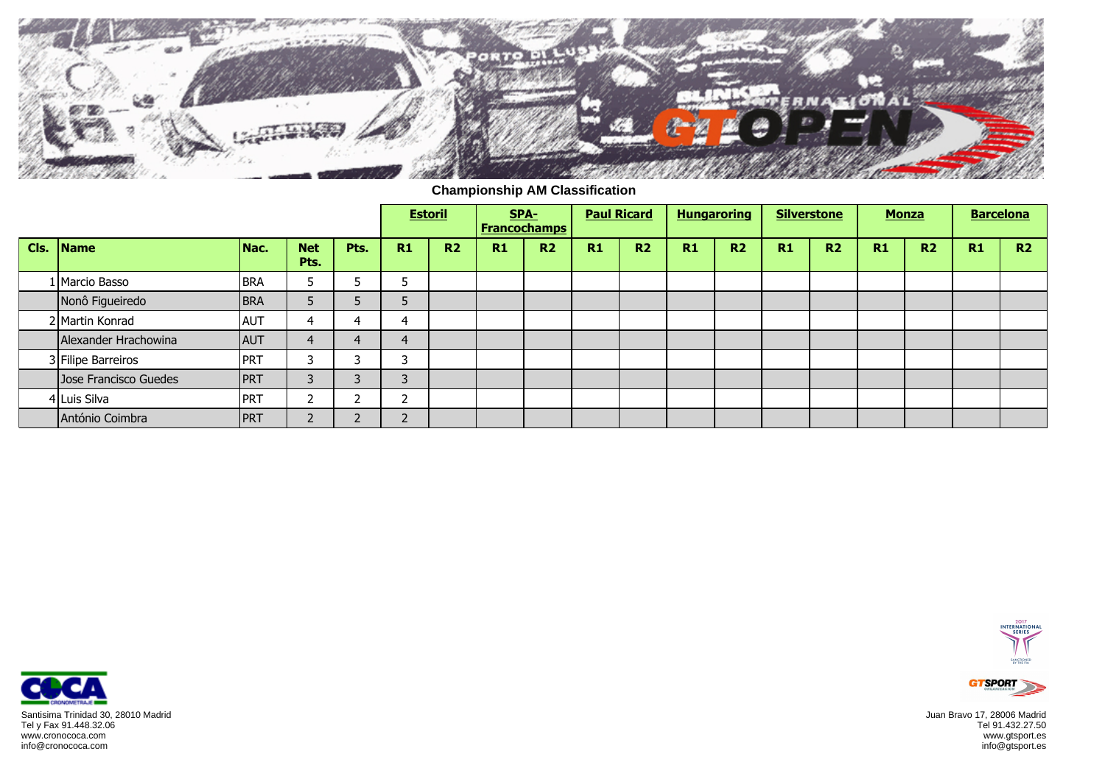

**Championship AM Classification**

|      |                       |            |                    |        |                               | <b>Estoril</b> |    | SPA-<br><b>Francochamps</b> | <b>Paul Ricard</b> |                |    | <b>Hungaroring</b> |    | <b>Silverstone</b> | <b>Monza</b>   |                |                | <b>Barcelona</b> |
|------|-----------------------|------------|--------------------|--------|-------------------------------|----------------|----|-----------------------------|--------------------|----------------|----|--------------------|----|--------------------|----------------|----------------|----------------|------------------|
| Cls. | Name                  | Nac.       | <b>Net</b><br>Pts. | Pts.   | R1                            | R <sub>2</sub> | R1 | <b>R2</b>                   | R1                 | R <sub>2</sub> | R1 | <b>R2</b>          | R1 | R <sub>2</sub>     | R <sub>1</sub> | R <sub>2</sub> | R <sub>1</sub> | R2               |
|      | 1 Marcio Basso        | <b>BRA</b> |                    |        | Е<br>э                        |                |    |                             |                    |                |    |                    |    |                    |                |                |                |                  |
|      | Nonô Figueiredo       | <b>BRA</b> |                    |        |                               |                |    |                             |                    |                |    |                    |    |                    |                |                |                |                  |
|      | 2 Martin Konrad       | <b>AUT</b> |                    |        | 4                             |                |    |                             |                    |                |    |                    |    |                    |                |                |                |                  |
|      | Alexander Hrachowina  | <b>AUT</b> |                    |        | 4                             |                |    |                             |                    |                |    |                    |    |                    |                |                |                |                  |
|      | 3 Filipe Barreiros    | PRT        |                    |        | C.                            |                |    |                             |                    |                |    |                    |    |                    |                |                |                |                  |
|      | Jose Francisco Guedes | <b>PRT</b> |                    | $\sim$ | 3                             |                |    |                             |                    |                |    |                    |    |                    |                |                |                |                  |
|      | 4 Luis Silva          | PRT        |                    |        | $\overline{\phantom{a}}$<br>∸ |                |    |                             |                    |                |    |                    |    |                    |                |                |                |                  |
|      | António Coimbra       | <b>PRT</b> |                    | $\sim$ | $\mathbf{r}$                  |                |    |                             |                    |                |    |                    |    |                    |                |                |                |                  |





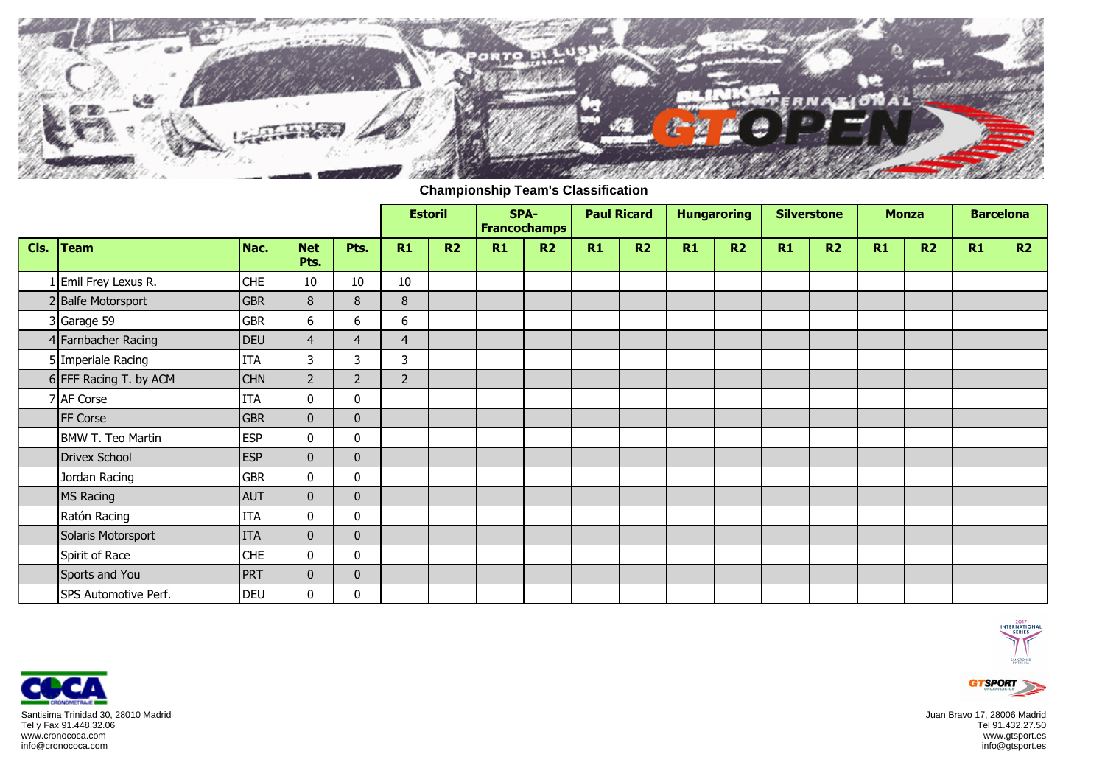

**Championship Team's Classification**

|      |                          |            |                    |                | <b>Estoril</b> |                |    | SPA-<br><b>Francochamps</b> | <b>Paul Ricard</b> |    | <b>Hungaroring</b> |                | <b>Silverstone</b> |    | <b>Monza</b> |                | <b>Barcelona</b> |    |
|------|--------------------------|------------|--------------------|----------------|----------------|----------------|----|-----------------------------|--------------------|----|--------------------|----------------|--------------------|----|--------------|----------------|------------------|----|
| Cls. | <b>Team</b>              | Nac.       | <b>Net</b><br>Pts. | Pts.           | R1             | R <sub>2</sub> | R1 | R <sub>2</sub>              | R1                 | R2 | R1                 | R <sub>2</sub> | R1                 | R2 | R1           | R <sub>2</sub> | R1               | R2 |
|      | LEmil Frey Lexus R.      | <b>CHE</b> | 10                 | 10             | 10             |                |    |                             |                    |    |                    |                |                    |    |              |                |                  |    |
|      | 2 Balfe Motorsport       | <b>GBR</b> | $\bf 8$            | 8              | 8              |                |    |                             |                    |    |                    |                |                    |    |              |                |                  |    |
|      | 3 Garage 59              | <b>GBR</b> | 6                  | 6              | 6              |                |    |                             |                    |    |                    |                |                    |    |              |                |                  |    |
|      | 4 Farnbacher Racing      | <b>DEU</b> | $\overline{4}$     | $\overline{4}$ | $\overline{4}$ |                |    |                             |                    |    |                    |                |                    |    |              |                |                  |    |
|      | 5 Imperiale Racing       | <b>ITA</b> | 3                  | 3              | 3              |                |    |                             |                    |    |                    |                |                    |    |              |                |                  |    |
|      | 6 FFF Racing T. by ACM   | <b>CHN</b> | $\overline{2}$     | $\overline{2}$ | $\overline{2}$ |                |    |                             |                    |    |                    |                |                    |    |              |                |                  |    |
|      | 7 AF Corse               | <b>ITA</b> | 0                  | 0              |                |                |    |                             |                    |    |                    |                |                    |    |              |                |                  |    |
|      | FF Corse                 | <b>GBR</b> | $\mathbf 0$        | $\mathbf 0$    |                |                |    |                             |                    |    |                    |                |                    |    |              |                |                  |    |
|      | <b>BMW T. Teo Martin</b> | <b>ESP</b> | 0                  | 0              |                |                |    |                             |                    |    |                    |                |                    |    |              |                |                  |    |
|      | <b>Drivex School</b>     | <b>ESP</b> | $\mathbf 0$        | $\mathbf 0$    |                |                |    |                             |                    |    |                    |                |                    |    |              |                |                  |    |
|      | Jordan Racing            | <b>GBR</b> | 0                  | 0              |                |                |    |                             |                    |    |                    |                |                    |    |              |                |                  |    |
|      | <b>MS Racing</b>         | AUT        | $\mathbf{0}$       | $\mathbf 0$    |                |                |    |                             |                    |    |                    |                |                    |    |              |                |                  |    |
|      | Ratón Racing             | <b>ITA</b> | 0                  | 0              |                |                |    |                             |                    |    |                    |                |                    |    |              |                |                  |    |
|      | Solaris Motorsport       | <b>ITA</b> | $\mathbf 0$        | $\mathbf 0$    |                |                |    |                             |                    |    |                    |                |                    |    |              |                |                  |    |
|      | Spirit of Race           | <b>CHE</b> | 0                  | 0              |                |                |    |                             |                    |    |                    |                |                    |    |              |                |                  |    |
|      | Sports and You           | PRT        | $\mathbf 0$        | $\mathbf 0$    |                |                |    |                             |                    |    |                    |                |                    |    |              |                |                  |    |
|      | SPS Automotive Perf.     | <b>DEU</b> | 0                  | 0              |                |                |    |                             |                    |    |                    |                |                    |    |              |                |                  |    |





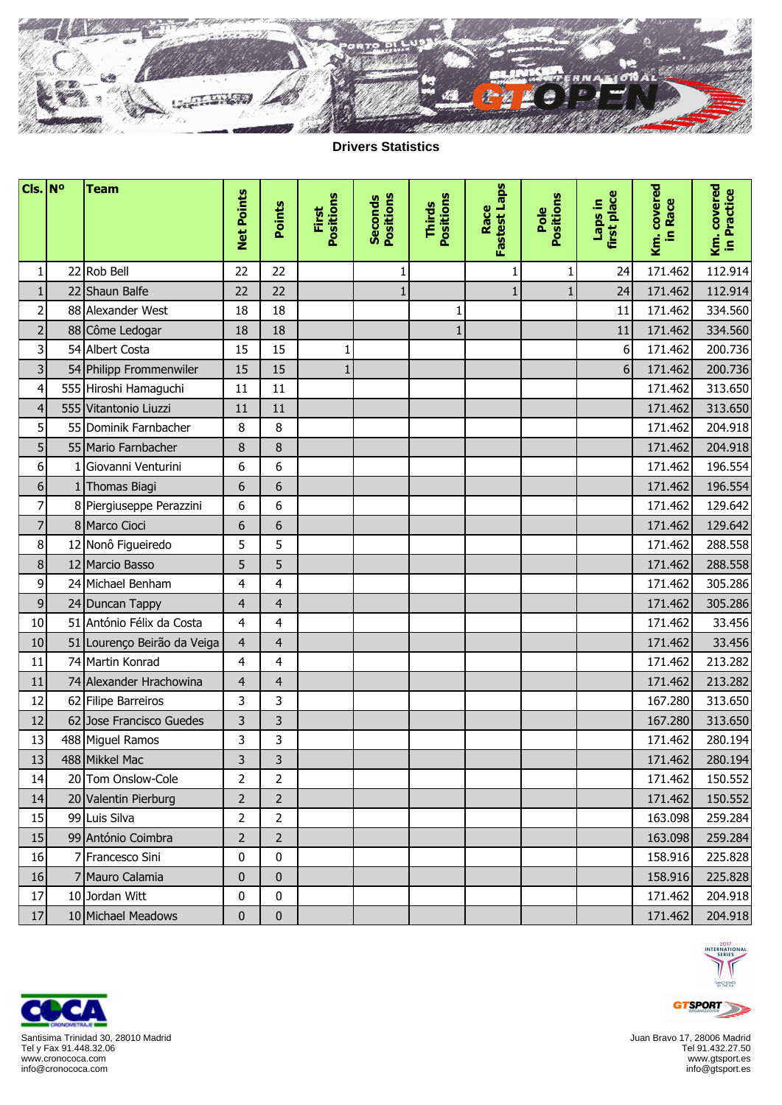

**Drivers Statistics**

| $Cls.$ N <sup>o</sup>   |    | <b>Team</b>                 | <b>Net Points</b> | Points         | Positions    | Positions      |                            | <b>Fastest Laps</b> |                   |                        |                        |                            |
|-------------------------|----|-----------------------------|-------------------|----------------|--------------|----------------|----------------------------|---------------------|-------------------|------------------------|------------------------|----------------------------|
|                         |    |                             |                   |                | First        | <b>Seconds</b> | Positions<br><b>Thirds</b> | Race                | Positions<br>Pole | first place<br>ui sder | Km. covered<br>in Race | Km. covered<br>in Practice |
| $\mathbf{1}$            |    | 22 Rob Bell                 | 22                | 22             |              | 1              |                            | 1                   | 1                 | 24                     | 171.462                | 112.914                    |
| $\mathbf{1}$            | 22 | Shaun Balfe                 | 22                | 22             |              | $\mathbf{1}$   |                            | $\mathbf{1}$        | $\mathbf{1}$      | 24                     | 171.462                | 112.914                    |
| $\overline{2}$          |    | 88 Alexander West           | 18                | 18             |              |                | 1                          |                     |                   | 11                     | 171.462                | 334.560                    |
| $\mathbf 2$             |    | 88 Côme Ledogar             | 18                | 18             |              |                | $\mathbf{1}$               |                     |                   | 11                     | 171.462                | 334.560                    |
| 3                       |    | 54 Albert Costa             | 15                | 15             | 1            |                |                            |                     |                   | 6                      | 171.462                | 200.736                    |
| $\overline{\mathbf{3}}$ |    | 54 Philipp Frommenwiler     | 15                | 15             | $\mathbf{1}$ |                |                            |                     |                   | 6                      | 171.462                | 200.736                    |
| $\overline{\mathbf{4}}$ |    | 555 Hiroshi Hamaguchi       | 11                | 11             |              |                |                            |                     |                   |                        | 171.462                | 313.650                    |
| $\overline{\mathbf{r}}$ |    | 555 Vitantonio Liuzzi       | 11                | 11             |              |                |                            |                     |                   |                        | 171.462                | 313.650                    |
| 5                       |    | 55 Dominik Farnbacher       | 8                 | 8              |              |                |                            |                     |                   |                        | 171.462                | 204.918                    |
| 5                       |    | 55 Mario Farnbacher         | 8                 | $\bf 8$        |              |                |                            |                     |                   |                        | 171.462                | 204.918                    |
| $\boldsymbol{6}$        |    | Giovanni Venturini          | 6                 | 6              |              |                |                            |                     |                   |                        | 171.462                | 196.554                    |
| 6                       |    | 1 Thomas Biagi              | 6                 | 6              |              |                |                            |                     |                   |                        | 171.462                | 196.554                    |
| $\overline{7}$          |    | 8 Piergiuseppe Perazzini    | 6                 | 6              |              |                |                            |                     |                   |                        | 171.462                | 129.642                    |
| $\overline{7}$          |    | 8 Marco Cioci               | 6                 | 6              |              |                |                            |                     |                   |                        | 171.462                | 129.642                    |
| $\bf 8$                 |    | 12 Nonô Figueiredo          | 5                 | 5              |              |                |                            |                     |                   |                        | 171.462                | 288.558                    |
| 8                       |    | 12 Marcio Basso             | 5                 | 5              |              |                |                            |                     |                   |                        | 171.462                | 288.558                    |
| 9                       |    | 24 Michael Benham           | $\overline{4}$    | 4              |              |                |                            |                     |                   |                        | 171.462                | 305.286                    |
| 9                       |    | 24 Duncan Tappy             | 4                 | 4              |              |                |                            |                     |                   |                        | 171.462                | 305.286                    |
| 10                      |    | 51 António Félix da Costa   | $\overline{4}$    | 4              |              |                |                            |                     |                   |                        | 171.462                | 33.456                     |
| 10                      |    | 51 Lourenço Beirão da Veiga | $\overline{4}$    | $\overline{4}$ |              |                |                            |                     |                   |                        | 171.462                | 33.456                     |
| 11                      |    | 74 Martin Konrad            | $\overline{4}$    | 4              |              |                |                            |                     |                   |                        | 171.462                | 213.282                    |
| 11                      |    | 74 Alexander Hrachowina     | $\overline{4}$    | $\overline{4}$ |              |                |                            |                     |                   |                        | 171.462                | 213.282                    |
| 12                      |    | 62 Filipe Barreiros         | 3                 | 3              |              |                |                            |                     |                   |                        | 167.280                | 313.650                    |
| 12                      |    | 62 Jose Francisco Guedes    | 3                 | 3              |              |                |                            |                     |                   |                        | 167.280                | 313.650                    |
| 13                      |    | 488 Miguel Ramos            | 3                 | 3              |              |                |                            |                     |                   |                        | 171.462                | 280.194                    |
| 13                      |    | 488 Mikkel Mac              | 3                 | 3              |              |                |                            |                     |                   |                        | 171.462                | 280.194                    |
| 14                      |    | 20 Tom Onslow-Cole          | 2                 | 2              |              |                |                            |                     |                   |                        | 171.462                | 150.552                    |
| 14                      |    | 20 Valentin Pierburg        | $\overline{2}$    | $\overline{2}$ |              |                |                            |                     |                   |                        | 171.462                | 150.552                    |
| 15                      |    | 99 Luis Silva               | $\overline{2}$    | $\overline{2}$ |              |                |                            |                     |                   |                        | 163.098                | 259.284                    |
| 15                      |    | 99 António Coimbra          | $\overline{2}$    | $\overline{2}$ |              |                |                            |                     |                   |                        | 163.098                | 259.284                    |
| 16                      |    | Francesco Sini              | 0                 | $\pmb{0}$      |              |                |                            |                     |                   |                        | 158.916                | 225.828                    |
| 16                      |    | 7 Mauro Calamia             | $\mathbf{0}$      | $\pmb{0}$      |              |                |                            |                     |                   |                        | 158.916                | 225.828                    |
| $17\,$                  |    | 10 Jordan Witt              | 0                 | 0              |              |                |                            |                     |                   |                        | 171.462                | 204.918                    |
| $17\,$                  |    | 10 Michael Meadows          | $\pmb{0}$         | $\pmb{0}$      |              |                |                            |                     |                   |                        | 171.462                | 204.918                    |



Santisima Trinidad 30, 28010 Madrid Tel y Fax 91.448.32.06 www.cronococa.com info@cronococa.com

c

q

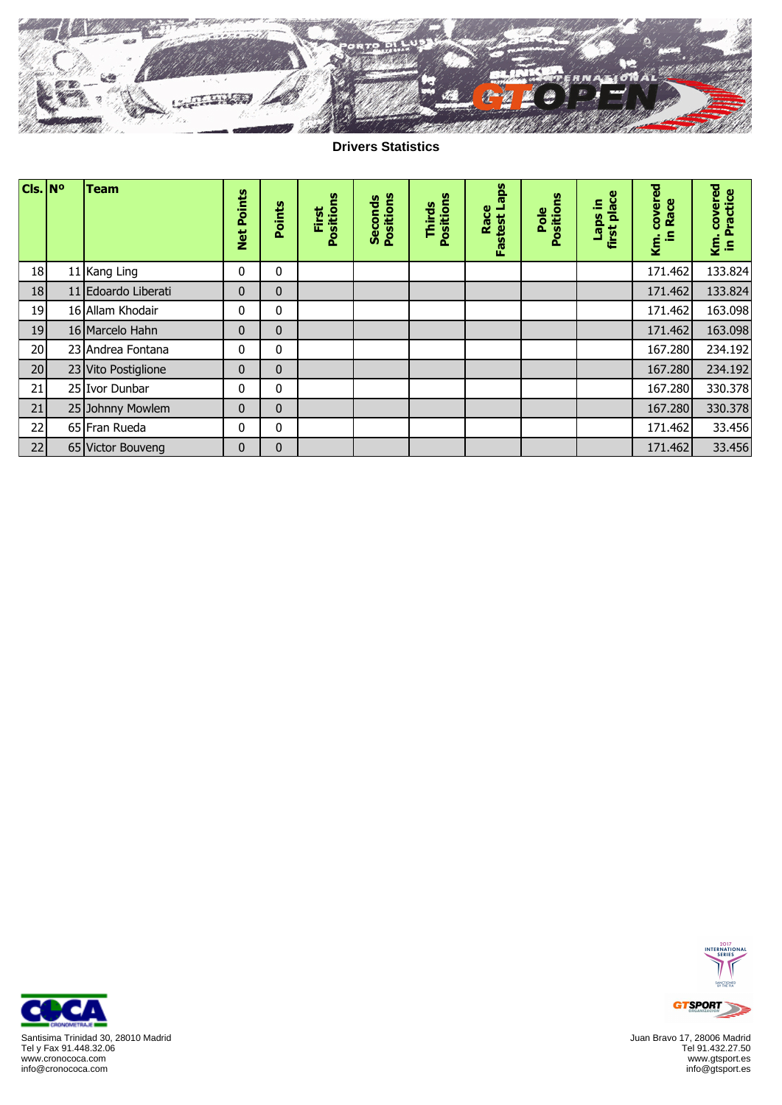

**Drivers Statistics**

| $Cls.$ N <sup>o</sup> | <b>Team</b>         |                             |              |                    |                             |                            |                      |                   |                             |                              |                            |
|-----------------------|---------------------|-----------------------------|--------------|--------------------|-----------------------------|----------------------------|----------------------|-------------------|-----------------------------|------------------------------|----------------------------|
|                       |                     | <b>Points</b><br><b>Net</b> | Points       | Positions<br>First | Positions<br><b>Seconds</b> | Positions<br><b>Thirds</b> | Fastest Laps<br>Race | Pole<br>Positions | place<br>Ξ<br>sder<br>first | covered<br>Race<br>£,<br>Кm. | covered<br>Practice<br>§.≘ |
| 18                    | 11 Kang Ling        | $\mathbf 0$                 | 0            |                    |                             |                            |                      |                   |                             | 171.462                      | 133.824                    |
| 18                    | 11 Edoardo Liberati | $\mathbf{0}$                | $\mathbf{0}$ |                    |                             |                            |                      |                   |                             | 171.462                      | 133.824                    |
| 19                    | 16 Allam Khodair    | $\mathbf 0$                 | 0            |                    |                             |                            |                      |                   |                             | 171.462                      | 163.098                    |
| 19                    | 16 Marcelo Hahn     | $\mathbf{0}$                | $\mathbf{0}$ |                    |                             |                            |                      |                   |                             | 171.462                      | 163.098                    |
| 20                    | 23 Andrea Fontana   | $\mathbf 0$                 | 0            |                    |                             |                            |                      |                   |                             | 167.280                      | 234.192                    |
| 20                    | 23 Vito Postiglione | $\mathbf{0}$                | $\mathbf{0}$ |                    |                             |                            |                      |                   |                             | 167.280                      | 234.192                    |
| 21                    | 25 Ivor Dunbar      | $\mathbf 0$                 | 0            |                    |                             |                            |                      |                   |                             | 167.280                      | 330.378                    |
| 21                    | 25 Johnny Mowlem    | $\mathbf{0}$                | $\mathbf{0}$ |                    |                             |                            |                      |                   |                             | 167.280                      | 330.378                    |
| 22                    | 65 Fran Rueda       | $\mathbf 0$                 | 0            |                    |                             |                            |                      |                   |                             | 171.462                      | 33.456                     |
| 22                    | 65 Victor Bouveng   | $\mathbf{0}$                | $\mathbf{0}$ |                    |                             |                            |                      |                   |                             | 171.462                      | 33.456                     |



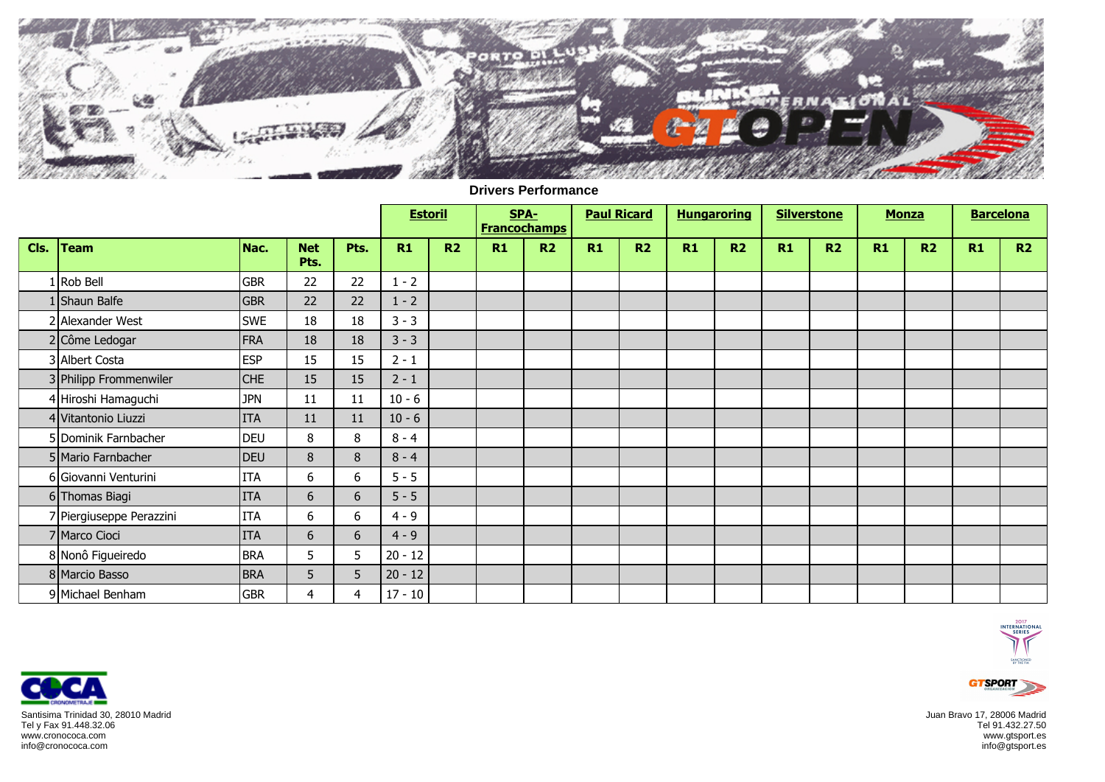

|      |                          |            |                    |      | <b>Estoril</b> |                |    | SPA-<br><b>Francochamps</b> | <b>Paul Ricard</b> |    | <b>Hungaroring</b> |                |    | <b>Silverstone</b> | <b>Monza</b> |    | <b>Barcelona</b> |    |
|------|--------------------------|------------|--------------------|------|----------------|----------------|----|-----------------------------|--------------------|----|--------------------|----------------|----|--------------------|--------------|----|------------------|----|
| Cls. | <b>Team</b>              | Nac.       | <b>Net</b><br>Pts. | Pts. | R1             | R <sub>2</sub> | R1 | R <sub>2</sub>              | R1                 | R2 | R1                 | R <sub>2</sub> | R1 | R2                 | R1           | R2 | R1               | R2 |
|      | 1 Rob Bell               | <b>GBR</b> | 22                 | 22   | $1 - 2$        |                |    |                             |                    |    |                    |                |    |                    |              |    |                  |    |
|      | 1 Shaun Balfe            | <b>GBR</b> | 22                 | 22   | $1 - 2$        |                |    |                             |                    |    |                    |                |    |                    |              |    |                  |    |
|      | 2 Alexander West         | <b>SWE</b> | 18                 | 18   | $3 - 3$        |                |    |                             |                    |    |                    |                |    |                    |              |    |                  |    |
|      | 2 Côme Ledogar           | FRA        | 18                 | 18   | $3 - 3$        |                |    |                             |                    |    |                    |                |    |                    |              |    |                  |    |
|      | 3 Albert Costa           | <b>ESP</b> | 15                 | 15   | $2 - 1$        |                |    |                             |                    |    |                    |                |    |                    |              |    |                  |    |
|      | 3 Philipp Frommenwiler   | <b>CHE</b> | 15                 | 15   | $2 - 1$        |                |    |                             |                    |    |                    |                |    |                    |              |    |                  |    |
|      | 4 Hiroshi Hamaguchi      | <b>JPN</b> | $11\,$             | 11   | $10 - 6$       |                |    |                             |                    |    |                    |                |    |                    |              |    |                  |    |
|      | 4 Vitantonio Liuzzi      | <b>ITA</b> | 11                 | 11   | $10 - 6$       |                |    |                             |                    |    |                    |                |    |                    |              |    |                  |    |
|      | 5 Dominik Farnbacher     | <b>DEU</b> | 8                  | 8    | $8 - 4$        |                |    |                             |                    |    |                    |                |    |                    |              |    |                  |    |
|      | 5 Mario Farnbacher       | <b>DEU</b> | 8                  | 8    | $8 - 4$        |                |    |                             |                    |    |                    |                |    |                    |              |    |                  |    |
|      | 6 Giovanni Venturini     | <b>ITA</b> | 6                  | 6    | $5 - 5$        |                |    |                             |                    |    |                    |                |    |                    |              |    |                  |    |
|      | 6 Thomas Biagi           | <b>ITA</b> | 6                  | 6    | $5 - 5$        |                |    |                             |                    |    |                    |                |    |                    |              |    |                  |    |
|      | 7 Piergiuseppe Perazzini | <b>ITA</b> | 6                  | 6    | $4 - 9$        |                |    |                             |                    |    |                    |                |    |                    |              |    |                  |    |
|      | 7 Marco Cioci            | <b>ITA</b> | 6                  | 6    | $4 - 9$        |                |    |                             |                    |    |                    |                |    |                    |              |    |                  |    |
|      | 8 Nonô Figueiredo        | <b>BRA</b> | 5                  | 5    | $20 - 12$      |                |    |                             |                    |    |                    |                |    |                    |              |    |                  |    |
|      | 8 Marcio Basso           | <b>BRA</b> | 5                  | 5    | $20 - 12$      |                |    |                             |                    |    |                    |                |    |                    |              |    |                  |    |
|      | 9 Michael Benham         | <b>GBR</b> | $\overline{4}$     | 4    | $17 - 10$      |                |    |                             |                    |    |                    |                |    |                    |              |    |                  |    |

## **Drivers Performance**





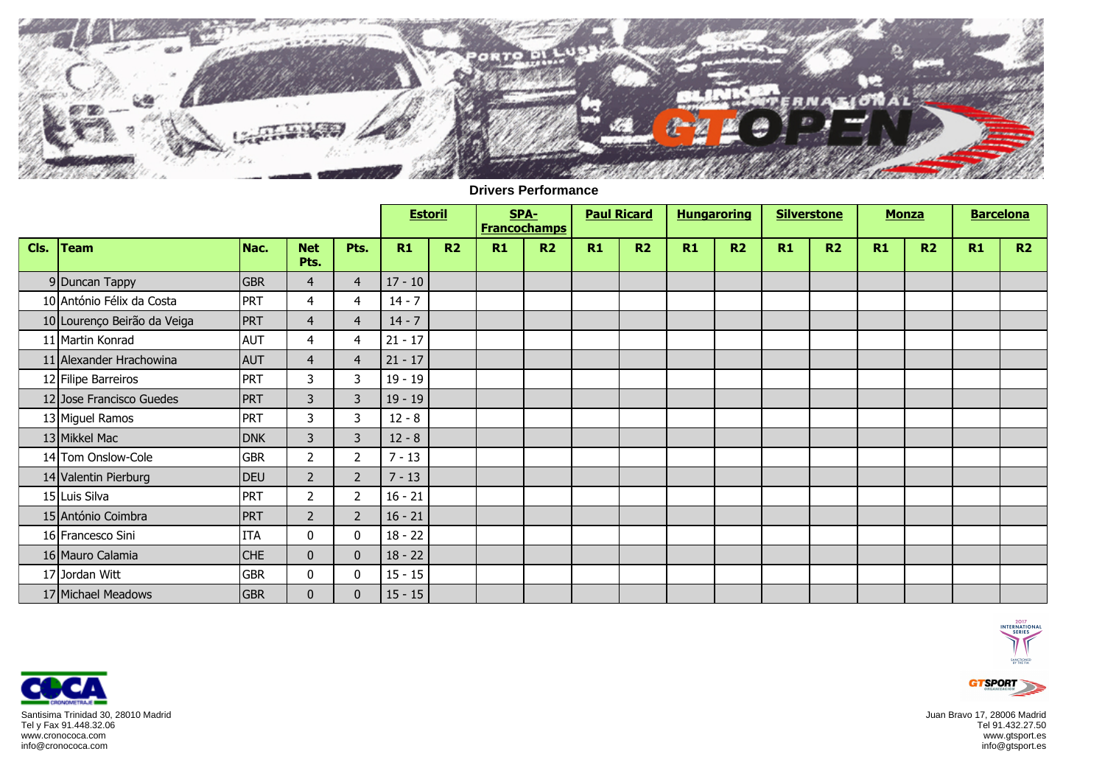

|      |                             |            |                    |                | <b>Estoril</b> |    |    | SPA-<br><b>Francochamps</b> | <b>Paul Ricard</b> |                | <b>Hungaroring</b> |                | <b>Silverstone</b> |                | <b>Monza</b> |    | <b>Barcelona</b> |    |
|------|-----------------------------|------------|--------------------|----------------|----------------|----|----|-----------------------------|--------------------|----------------|--------------------|----------------|--------------------|----------------|--------------|----|------------------|----|
| Cls. | <b>Team</b>                 | Nac.       | <b>Net</b><br>Pts. | Pts.           | R1             | R2 | R1 | R2                          | R1                 | R <sub>2</sub> | R1                 | R <sub>2</sub> | R1                 | R <sub>2</sub> | R1           | R2 | R1               | R2 |
|      | 9 Duncan Tappy              | <b>GBR</b> | $\overline{4}$     | $\overline{4}$ | $17 - 10$      |    |    |                             |                    |                |                    |                |                    |                |              |    |                  |    |
|      | 10 António Félix da Costa   | <b>PRT</b> | 4                  | $\overline{a}$ | $14 - 7$       |    |    |                             |                    |                |                    |                |                    |                |              |    |                  |    |
|      | 10 Lourenço Beirão da Veiga | PRT        | $\overline{4}$     | $\overline{4}$ | $14 - 7$       |    |    |                             |                    |                |                    |                |                    |                |              |    |                  |    |
|      | 11 Martin Konrad            | <b>AUT</b> | 4                  | $\overline{4}$ | $21 - 17$      |    |    |                             |                    |                |                    |                |                    |                |              |    |                  |    |
|      | 11 Alexander Hrachowina     | <b>AUT</b> | $\overline{4}$     | $\overline{4}$ | $21 - 17$      |    |    |                             |                    |                |                    |                |                    |                |              |    |                  |    |
|      | 12 Filipe Barreiros         | PRT        | 3                  | 3              | $19 - 19$      |    |    |                             |                    |                |                    |                |                    |                |              |    |                  |    |
|      | 12 Jose Francisco Guedes    | <b>PRT</b> | 3                  | 3              | $19 - 19$      |    |    |                             |                    |                |                    |                |                    |                |              |    |                  |    |
|      | 13 Miguel Ramos             | <b>PRT</b> | 3                  | 3              | $12 - 8$       |    |    |                             |                    |                |                    |                |                    |                |              |    |                  |    |
|      | 13 Mikkel Mac               | <b>DNK</b> | 3                  | 3              | $12 - 8$       |    |    |                             |                    |                |                    |                |                    |                |              |    |                  |    |
|      | 14 Tom Onslow-Cole          | <b>GBR</b> | $\overline{2}$     | $\overline{2}$ | $7 - 13$       |    |    |                             |                    |                |                    |                |                    |                |              |    |                  |    |
|      | 14 Valentin Pierburg        | DEU        | $\overline{2}$     | $\overline{2}$ | $7 - 13$       |    |    |                             |                    |                |                    |                |                    |                |              |    |                  |    |
|      | 15 Luis Silva               | <b>PRT</b> | $\overline{2}$     | 2              | $16 - 21$      |    |    |                             |                    |                |                    |                |                    |                |              |    |                  |    |
|      | 15 António Coimbra          | <b>PRT</b> | $\overline{2}$     | $\overline{2}$ | $16 - 21$      |    |    |                             |                    |                |                    |                |                    |                |              |    |                  |    |
|      | 16 Francesco Sini           | <b>ITA</b> | 0                  | 0              | $18 - 22$      |    |    |                             |                    |                |                    |                |                    |                |              |    |                  |    |
|      | 16 Mauro Calamia            | <b>CHE</b> | $\overline{0}$     | $\mathbf{0}$   | $18 - 22$      |    |    |                             |                    |                |                    |                |                    |                |              |    |                  |    |
|      | 17 Jordan Witt              | <b>GBR</b> | 0                  | $\pmb{0}$      | $15 - 15$      |    |    |                             |                    |                |                    |                |                    |                |              |    |                  |    |
|      | 17 Michael Meadows          | <b>GBR</b> | $\mathbf{0}$       | $\bf{0}$       | $15 - 15$      |    |    |                             |                    |                |                    |                |                    |                |              |    |                  |    |

## **Drivers Performance**